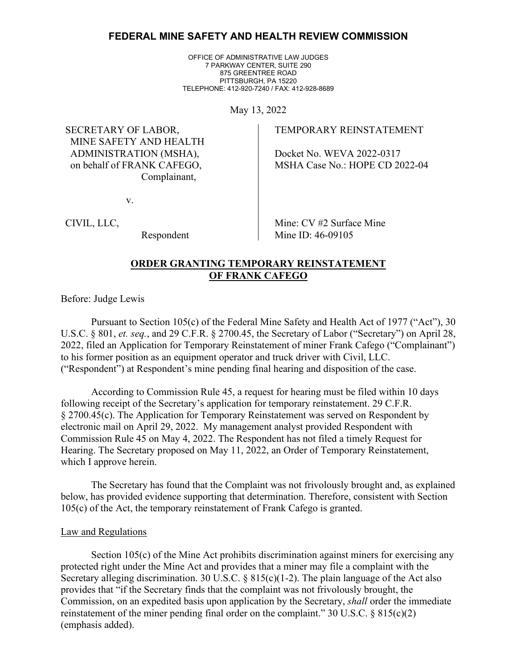# **FEDERAL MINE SAFETY AND HEALTH REVIEW COMMISSION**

OFFICE OF ADMINISTRATIVE LAW JUDGES 7 PARKWAY CENTER, SUITE 290 875 GREENTREE ROAD PITTSBURGH, PA 15220 TELEPHONE: 412-920-7240 / FAX: 412-928-8689

May 13, 2022

SECRETARY OF LABOR, MINE SAFETY AND HEALTH ADMINISTRATION (MSHA), on behalf of FRANK CAFEGO, Complainant,

v.

CIVIL, LLC,

Respondent

TEMPORARY REINSTATEMENT

Docket No. WEVA 2022-0317 MSHA Case No.: HOPE CD 2022-04

Mine: CV #2 Surface Mine Mine ID: 46-09105

# **ORDER GRANTING TEMPORARY REINSTATEMENT OF FRANK CAFEGO**

Before: Judge Lewis

Pursuant to Section 105(c) of the Federal Mine Safety and Health Act of 1977 ("Act"), 30 U.S.C. § 801, *et. seq.*, and 29 C.F.R. § 2700.45, the Secretary of Labor ("Secretary") on April 28, 2022, filed an Application for Temporary Reinstatement of miner Frank Cafego ("Complainant") to his former position as an equipment operator and truck driver with Civil, LLC. ("Respondent") at Respondent's mine pending final hearing and disposition of the case.

According to Commission Rule 45, a request for hearing must be filed within 10 days following receipt of the Secretary's application for temporary reinstatement. 29 C.F.R. § 2700.45(c). The Application for Temporary Reinstatement was served on Respondent by electronic mail on April 29, 2022. My management analyst provided Respondent with Commission Rule 45 on May 4, 2022. The Respondent has not filed a timely Request for Hearing. The Secretary proposed on May 11, 2022, an Order of Temporary Reinstatement, which I approve herein.

The Secretary has found that the Complaint was not frivolously brought and, as explained below, has provided evidence supporting that determination. Therefore, consistent with Section 105(c) of the Act, the temporary reinstatement of Frank Cafego is granted.

### Law and Regulations

Section 105(c) of the Mine Act prohibits discrimination against miners for exercising any protected right under the Mine Act and provides that a miner may file a complaint with the Secretary alleging discrimination. 30 U.S.C. § 815(c)(1-2). The plain language of the Act also provides that "if the Secretary finds that the complaint was not frivolously brought, the Commission, on an expedited basis upon application by the Secretary, *shall* order the immediate reinstatement of the miner pending final order on the complaint."  $30$  U.S.C. §  $815(c)(2)$ (emphasis added).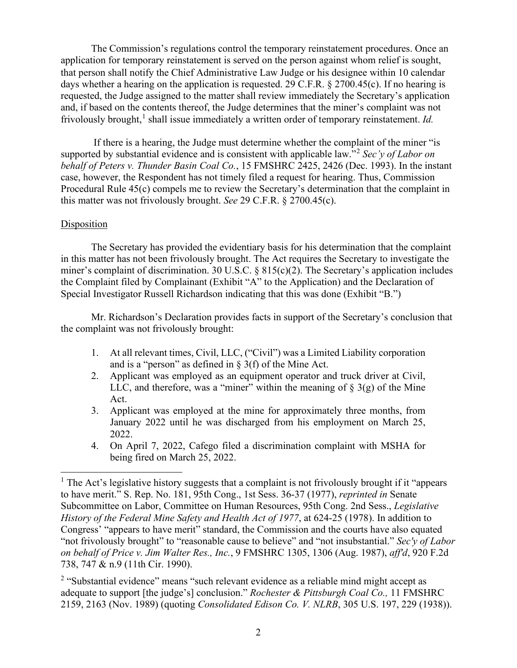The Commission's regulations control the temporary reinstatement procedures. Once an application for temporary reinstatement is served on the person against whom relief is sought, that person shall notify the Chief Administrative Law Judge or his designee within 10 calendar days whether a hearing on the application is requested. 29 C.F.R. § 2700.45(c). If no hearing is requested, the Judge assigned to the matter shall review immediately the Secretary's application and, if based on the contents thereof, the Judge determines that the miner's complaint was not frivolously brought,<sup>[1](#page-1-0)</sup> shall issue immediately a written order of temporary reinstatement. *Id.* 

If there is a hearing, the Judge must determine whether the complaint of the miner "is supported by substantial evidence and is consistent with applicable law."[2](#page-1-1) *Sec'y of Labor on behalf of Peters v. Thunder Basin Coal Co.*, 15 FMSHRC 2425, 2426 (Dec. 1993). In the instant case, however, the Respondent has not timely filed a request for hearing. Thus, Commission Procedural Rule 45(c) compels me to review the Secretary's determination that the complaint in this matter was not frivolously brought. *See* 29 C.F.R. § 2700.45(c).

## Disposition

The Secretary has provided the evidentiary basis for his determination that the complaint in this matter has not been frivolously brought. The Act requires the Secretary to investigate the miner's complaint of discrimination. 30 U.S.C. § 815(c)(2). The Secretary's application includes the Complaint filed by Complainant (Exhibit "A" to the Application) and the Declaration of Special Investigator Russell Richardson indicating that this was done (Exhibit "B.")

Mr. Richardson's Declaration provides facts in support of the Secretary's conclusion that the complaint was not frivolously brought:

- 1. At all relevant times, Civil, LLC, ("Civil") was a Limited Liability corporation and is a "person" as defined in  $\S$  3(f) of the Mine Act.
- 2. Applicant was employed as an equipment operator and truck driver at Civil, LLC, and therefore, was a "miner" within the meaning of  $\S$  3(g) of the Mine Act.
- 3. Applicant was employed at the mine for approximately three months, from January 2022 until he was discharged from his employment on March 25, 2022.
- 4. On April 7, 2022, Cafego filed a discrimination complaint with MSHA for being fired on March 25, 2022.

<span id="page-1-0"></span> $<sup>1</sup>$  The Act's legislative history suggests that a complaint is not frivolously brought if it "appears"</sup> to have merit." S. Rep. No. 181, 95th Cong., 1st Sess. 36-37 (1977), *reprinted in* Senate Subcommittee on Labor, Committee on Human Resources, 95th Cong. 2nd Sess., *Legislative History of the Federal Mine Safety and Health Act of 1977*, at 624-25 (1978). In addition to Congress' "appears to have merit" standard, the Commission and the courts have also equated "not frivolously brought" to "reasonable cause to believe" and "not insubstantial." *Sec'y of Labor on behalf of Price v. Jim Walter Res., Inc.*, 9 FMSHRC 1305, 1306 (Aug. 1987), *aff'd*, 920 F.2d 738, 747 & n.9 (11th Cir. 1990).

<span id="page-1-1"></span><sup>&</sup>lt;sup>2</sup> "Substantial evidence" means "such relevant evidence as a reliable mind might accept as adequate to support [the judge's] conclusion." *Rochester & Pittsburgh Coal Co.,* 11 FMSHRC 2159, 2163 (Nov. 1989) (quoting *Consolidated Edison Co. V. NLRB*, 305 U.S. 197, 229 (1938)).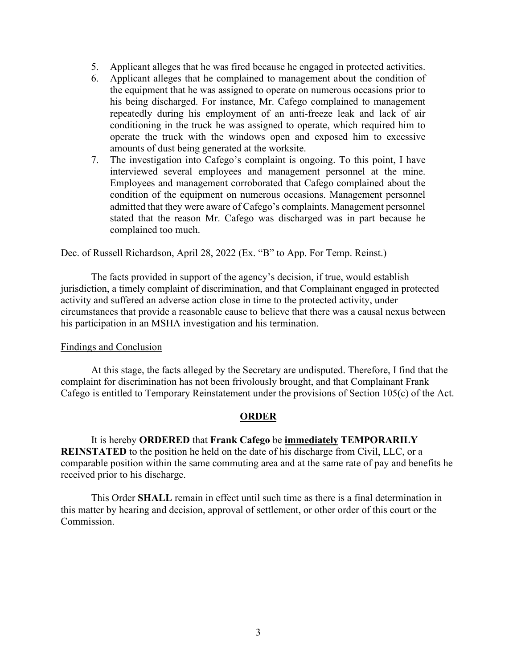- 5. Applicant alleges that he was fired because he engaged in protected activities.
- 6. Applicant alleges that he complained to management about the condition of the equipment that he was assigned to operate on numerous occasions prior to his being discharged. For instance, Mr. Cafego complained to management repeatedly during his employment of an anti-freeze leak and lack of air conditioning in the truck he was assigned to operate, which required him to operate the truck with the windows open and exposed him to excessive amounts of dust being generated at the worksite.
- 7. The investigation into Cafego's complaint is ongoing. To this point, I have interviewed several employees and management personnel at the mine. Employees and management corroborated that Cafego complained about the condition of the equipment on numerous occasions. Management personnel admitted that they were aware of Cafego's complaints. Management personnel stated that the reason Mr. Cafego was discharged was in part because he complained too much.

Dec. of Russell Richardson, April 28, 2022 (Ex. "B" to App. For Temp. Reinst.)

The facts provided in support of the agency's decision, if true, would establish jurisdiction, a timely complaint of discrimination, and that Complainant engaged in protected activity and suffered an adverse action close in time to the protected activity, under circumstances that provide a reasonable cause to believe that there was a causal nexus between his participation in an MSHA investigation and his termination.

### Findings and Conclusion

At this stage, the facts alleged by the Secretary are undisputed. Therefore, I find that the complaint for discrimination has not been frivolously brought, and that Complainant Frank Cafego is entitled to Temporary Reinstatement under the provisions of Section 105(c) of the Act.

### **ORDER**

It is hereby **ORDERED** that **Frank Cafego** be **immediately TEMPORARILY REINSTATED** to the position he held on the date of his discharge from Civil, LLC, or a comparable position within the same commuting area and at the same rate of pay and benefits he received prior to his discharge.

This Order **SHALL** remain in effect until such time as there is a final determination in this matter by hearing and decision, approval of settlement, or other order of this court or the Commission.